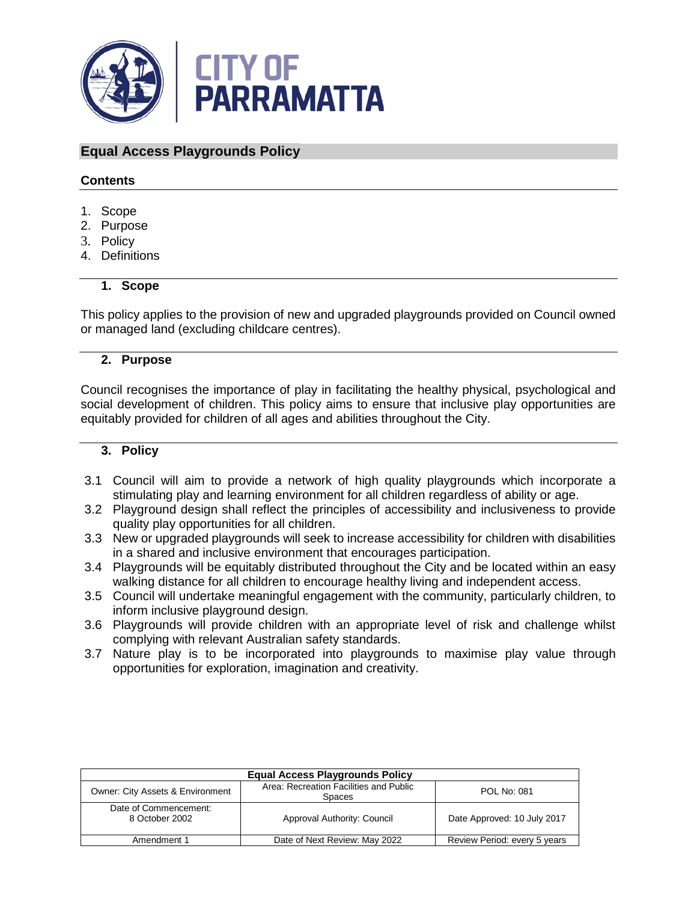

# **Equal Access Playgrounds Policy**

## **Contents**

- 1. Scope
- 2. Purpose
- 3. Policy
- 4. Definitions

### **1. Scope**

This policy applies to the provision of new and upgraded playgrounds provided on Council owned or managed land (excluding childcare centres).

### **2. Purpose**

Council recognises the importance of play in facilitating the healthy physical, psychological and social development of children. This policy aims to ensure that inclusive play opportunities are equitably provided for children of all ages and abilities throughout the City.

## **3. Policy**

- 3.1 Council will aim to provide a network of high quality playgrounds which incorporate a stimulating play and learning environment for all children regardless of ability or age.
- 3.2 Playground design shall reflect the principles of accessibility and inclusiveness to provide quality play opportunities for all children.
- 3.3 New or upgraded playgrounds will seek to increase accessibility for children with disabilities in a shared and inclusive environment that encourages participation.
- 3.4 Playgrounds will be equitably distributed throughout the City and be located within an easy walking distance for all children to encourage healthy living and independent access.
- 3.5 Council will undertake meaningful engagement with the community, particularly children, to inform inclusive playground design.
- 3.6 Playgrounds will provide children with an appropriate level of risk and challenge whilst complying with relevant Australian safety standards.
- 3.7 Nature play is to be incorporated into playgrounds to maximise play value through opportunities for exploration, imagination and creativity.

| <b>Equal Access Playgrounds Policy</b>      |                                                         |                              |  |
|---------------------------------------------|---------------------------------------------------------|------------------------------|--|
| <b>Owner: City Assets &amp; Environment</b> | Area: Recreation Facilities and Public<br><b>Spaces</b> | POL No: 081                  |  |
| Date of Commencement:<br>8 October 2002     | Approval Authority: Council                             | Date Approved: 10 July 2017  |  |
| Amendment 1                                 | Date of Next Review: May 2022                           | Review Period: every 5 years |  |